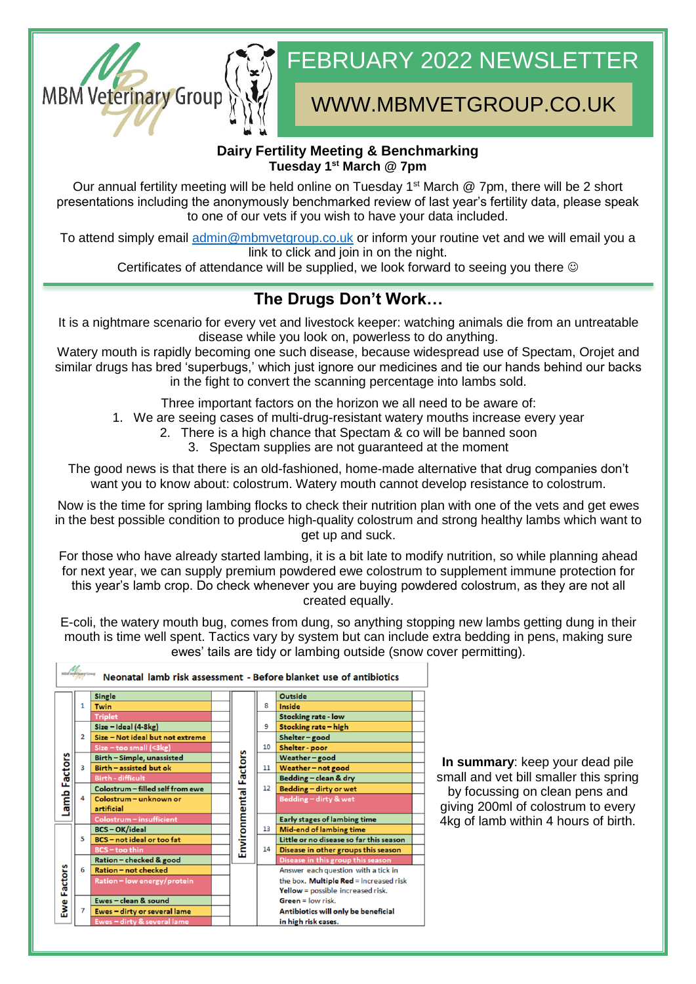

# FEBRUARY 2022 NEWSLETTER

## WWW.MBMVETGROUP.CO.UK

#### **Dairy Fertility Meeting & Benchmarking Tuesday 1st March @ 7pm**

Our annual fertility meeting will be held online on Tuesday 1<sup>st</sup> March @ 7pm, there will be 2 short presentations including the anonymously benchmarked review of last year's fertility data, please speak to one of our vets if you wish to have your data included.

To attend simply email [admin@mbmvetgroup.co.uk](mailto:admin@mbmvetgroup.co.uk) or inform your routine vet and we will email you a link to click and join in on the night.

Certificates of attendance will be supplied, we look forward to seeing you there  $\odot$ 

### **The Drugs Don't Work…**

It is a nightmare scenario for every vet and livestock keeper: watching animals die from an untreatable disease while you look on, powerless to do anything.

Watery mouth is rapidly becoming one such disease, because widespread use of Spectam, Orojet and similar drugs has bred 'superbugs,' which just ignore our medicines and tie our hands behind our backs in the fight to convert the scanning percentage into lambs sold.

Three important factors on the horizon we all need to be aware of:

1. We are seeing cases of multi-drug-resistant watery mouths increase every year

- 2. There is a high chance that Spectam & co will be banned soon
	- 3. Spectam supplies are not guaranteed at the moment

The good news is that there is an old-fashioned, home-made alternative that drug companies don't want you to know about: colostrum. Watery mouth cannot develop resistance to colostrum.

Now is the time for spring lambing flocks to check their nutrition plan with one of the vets and get ewes in the best possible condition to produce high-quality colostrum and strong healthy lambs which want to get up and suck.

For those who have already started lambing, it is a bit late to modify nutrition, so while planning ahead for next year, we can supply premium powdered ewe colostrum to supplement immune protection for this year's lamb crop. Do check whenever you are buying powdered colostrum, as they are not all created equally.

E-coli, the watery mouth bug, comes from dung, so anything stopping new lambs getting dung in their mouth is time well spent. Tactics vary by system but can include extra bedding in pens, making sure ewes' tails are tidy or lambing outside (snow cover permitting).



**In summary**: keep your dead pile small and vet bill smaller this spring by focussing on clean pens and giving 200ml of colostrum to every 4kg of lamb within 4 hours of birth.